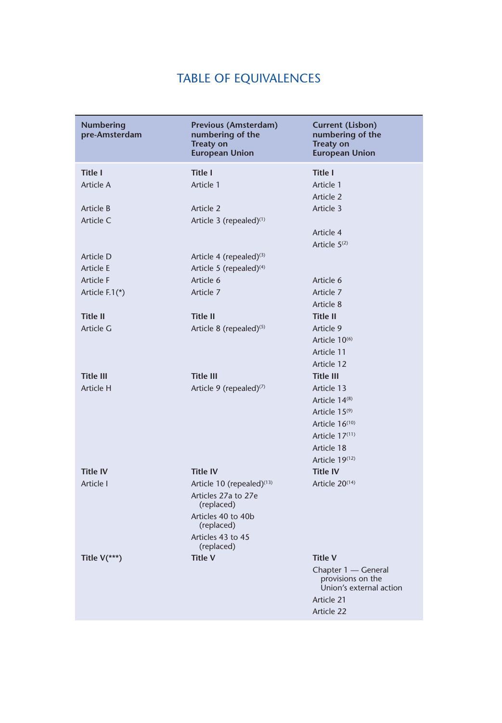## TABLE OF EQUIVALENCES

| <b>Numbering</b><br>pre-Amsterdam | Previous (Amsterdam)<br>numbering of the<br><b>Treaty on</b><br><b>European Union</b>   | <b>Current (Lisbon)</b><br>numbering of the<br><b>Treaty on</b><br><b>European Union</b> |
|-----------------------------------|-----------------------------------------------------------------------------------------|------------------------------------------------------------------------------------------|
| Title I                           | <b>Title I</b>                                                                          | <b>Title I</b>                                                                           |
| Article A                         | Article 1                                                                               | Article 1<br>Article 2                                                                   |
| Article B                         | Article 2                                                                               | Article 3                                                                                |
| Article C                         | Article 3 (repealed) <sup>(1)</sup>                                                     |                                                                                          |
|                                   |                                                                                         | Article 4<br>Article $5(2)$                                                              |
| Article D                         | Article 4 (repealed) $(3)$                                                              |                                                                                          |
| Article E                         | Article 5 (repealed) <sup>(4)</sup>                                                     |                                                                                          |
| <b>Article F</b>                  | Article 6                                                                               | Article 6                                                                                |
| Article F.1(*)                    | Article 7                                                                               | Article 7                                                                                |
|                                   |                                                                                         | Article 8                                                                                |
| <b>Title II</b>                   | <b>Title II</b>                                                                         | <b>Title II</b>                                                                          |
| Article G                         | Article 8 (repealed) <sup>(5)</sup>                                                     | Article 9                                                                                |
|                                   |                                                                                         | Article $10^{(6)}$                                                                       |
|                                   |                                                                                         | Article 11                                                                               |
|                                   |                                                                                         | Article 12                                                                               |
| <b>Title III</b>                  | <b>Title III</b>                                                                        | <b>Title III</b>                                                                         |
| Article H                         | Article 9 (repealed) $(7)$                                                              | Article 13                                                                               |
|                                   |                                                                                         | Article 14 <sup>(8)</sup>                                                                |
|                                   |                                                                                         | Article 15 <sup>(9)</sup>                                                                |
|                                   |                                                                                         | Article $16^{(10)}$                                                                      |
|                                   |                                                                                         | Article $17(11)$                                                                         |
|                                   |                                                                                         | Article 18                                                                               |
|                                   |                                                                                         | Article 19(12)                                                                           |
| <b>Title IV</b>                   | <b>Title IV</b>                                                                         | <b>Title IV</b>                                                                          |
| Article I                         | Article 10 (repealed) $(13)$<br>Articles 27a to 27e<br>(replaced)<br>Articles 40 to 40b | Article 20 <sup>(14)</sup>                                                               |
|                                   | (replaced)                                                                              |                                                                                          |
|                                   | Articles 43 to 45<br>(replaced)                                                         |                                                                                          |
| Title $V(**)$                     | <b>Title V</b>                                                                          | <b>Title V</b>                                                                           |
|                                   |                                                                                         | Chapter 1 — General<br>provisions on the<br>Union's external action<br>Article 21        |
|                                   |                                                                                         | Article 22                                                                               |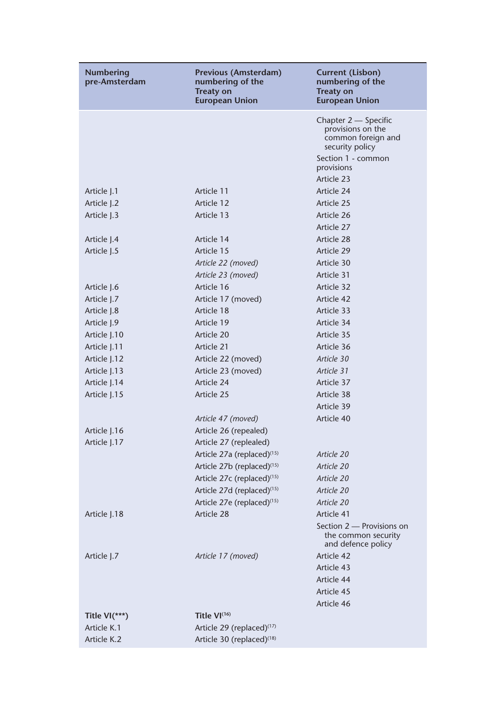| <b>Numbering</b><br>pre-Amsterdam | Previous (Amsterdam)<br>numbering of the<br><b>Treaty on</b><br><b>European Union</b> | <b>Current (Lisbon)</b><br>numbering of the<br><b>Treaty on</b><br><b>European Union</b> |
|-----------------------------------|---------------------------------------------------------------------------------------|------------------------------------------------------------------------------------------|
|                                   |                                                                                       | Chapter 2 - Specific<br>provisions on the<br>common foreign and<br>security policy       |
|                                   |                                                                                       | Section 1 - common<br>provisions                                                         |
|                                   |                                                                                       | Article 23                                                                               |
| Article J.1                       | Article 11                                                                            | Article 24                                                                               |
| Article J.2                       | Article 12                                                                            | Article 25                                                                               |
| Article J.3                       | Article 13                                                                            | Article 26                                                                               |
|                                   |                                                                                       | Article 27                                                                               |
| Article J.4                       | Article 14                                                                            | Article 28                                                                               |
| Article J.5                       | Article 15                                                                            | Article 29                                                                               |
|                                   | Article 22 (moved)                                                                    | Article 30                                                                               |
|                                   | Article 23 (moved)                                                                    | Article 31                                                                               |
| Article J.6                       | Article 16                                                                            | Article 32                                                                               |
| Article J.7                       | Article 17 (moved)                                                                    | Article 42                                                                               |
| Article J.8                       | Article 18                                                                            | Article 33                                                                               |
| Article J.9                       | Article 19                                                                            | Article 34                                                                               |
| Article J.10                      | Article 20                                                                            | Article 35                                                                               |
| Article J.11                      | Article 21                                                                            | Article 36                                                                               |
| Article J.12                      | Article 22 (moved)                                                                    | Article 30                                                                               |
| Article J.13                      | Article 23 (moved)                                                                    | Article 31                                                                               |
| Article J.14                      | Article 24                                                                            | Article 37                                                                               |
| Article J.15                      | Article 25                                                                            | Article 38                                                                               |
|                                   |                                                                                       | Article 39                                                                               |
|                                   | Article 47 (moved)                                                                    | Article 40                                                                               |
| Article J.16                      | Article 26 (repealed)                                                                 |                                                                                          |
| Article J.17                      | Article 27 (replealed)                                                                |                                                                                          |
|                                   | Article 27a (replaced) <sup>(15)</sup>                                                | Article 20                                                                               |
|                                   | Article 27b (replaced) <sup>(15)</sup>                                                | Article 20                                                                               |
|                                   | Article 27c (replaced) <sup>(15)</sup>                                                | Article 20                                                                               |
|                                   | Article 27d (replaced) <sup>(15)</sup>                                                | Article 20                                                                               |
|                                   | Article 27e (replaced) <sup>(15)</sup>                                                | Article 20                                                                               |
| Article 1.18                      | Article 28                                                                            | Article 41                                                                               |
|                                   |                                                                                       | Section 2 - Provisions on<br>the common security<br>and defence policy                   |
| Article J.7                       | Article 17 (moved)                                                                    | Article 42                                                                               |
|                                   |                                                                                       | Article 43                                                                               |
|                                   |                                                                                       | Article 44                                                                               |
|                                   |                                                                                       | Article 45                                                                               |
|                                   |                                                                                       | Article 46                                                                               |
| Title $VI(***)$                   | Title $VI^{(16)}$                                                                     |                                                                                          |
| Article K.1                       | Article 29 (replaced) <sup>(17)</sup>                                                 |                                                                                          |
| Article K.2                       | Article 30 (replaced) <sup>(18)</sup>                                                 |                                                                                          |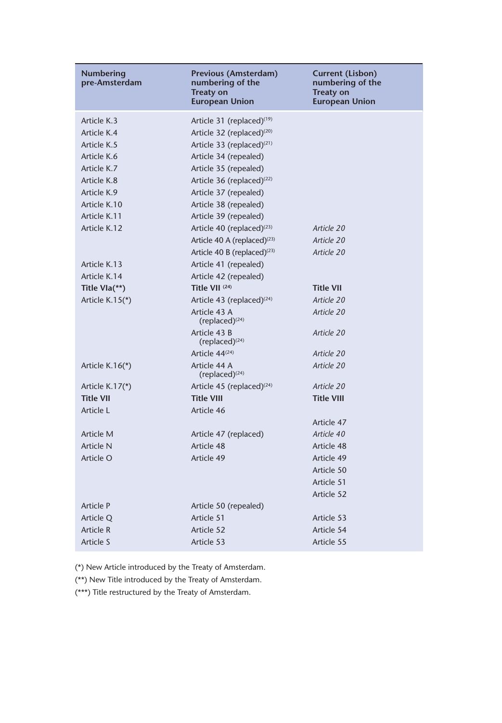| <b>Numbering</b><br>pre-Amsterdam | Previous (Amsterdam)<br>numbering of the<br><b>Treaty on</b><br><b>European Union</b> | Current (Lisbon)<br>numbering of the<br><b>Treaty on</b><br><b>European Union</b> |
|-----------------------------------|---------------------------------------------------------------------------------------|-----------------------------------------------------------------------------------|
| Article K.3                       | Article 31 (replaced) <sup>(19)</sup>                                                 |                                                                                   |
| Article K.4                       | Article 32 (replaced) <sup>(20)</sup>                                                 |                                                                                   |
| Article K.5                       | Article 33 (replaced) <sup>(21)</sup>                                                 |                                                                                   |
| Article K.6                       | Article 34 (repealed)                                                                 |                                                                                   |
| Article K.7                       | Article 35 (repealed)                                                                 |                                                                                   |
| Article K.8                       | Article 36 (replaced) $(22)$                                                          |                                                                                   |
| Article K.9                       | Article 37 (repealed)                                                                 |                                                                                   |
| Article K.10                      | Article 38 (repealed)                                                                 |                                                                                   |
| Article K.11                      | Article 39 (repealed)                                                                 |                                                                                   |
| Article K.12                      | Article 40 (replaced) $(23)$                                                          | Article 20                                                                        |
|                                   | Article 40 A (replaced) <sup>(23)</sup>                                               | Article 20                                                                        |
|                                   | Article 40 B (replaced) $(23)$                                                        | Article 20                                                                        |
| Article K.13                      | Article 41 (repealed)                                                                 |                                                                                   |
| Article K.14                      | Article 42 (repealed)                                                                 |                                                                                   |
| Title Vla(**)                     | Title VII <sup>(24)</sup>                                                             | <b>Title VII</b>                                                                  |
| Article $K.15(*)$                 | Article 43 (replaced) $(24)$                                                          | Article 20                                                                        |
|                                   | Article 43 A<br>(replaced) $(24)$                                                     | Article 20                                                                        |
|                                   | Article 43 B<br>$(replaced)^{(24)}$                                                   | Article 20                                                                        |
|                                   | Article $44^{(24)}$                                                                   | Article 20                                                                        |
| Article K.16 $(*)$                | Article 44 A<br>(replaced) $(24)$                                                     | Article 20                                                                        |
| Article $K.17(*)$                 | Article 45 (replaced) $(24)$                                                          | Article 20                                                                        |
| <b>Title VII</b>                  | <b>Title VIII</b>                                                                     | <b>Title VIII</b>                                                                 |
| Article L                         | Article 46                                                                            |                                                                                   |
|                                   |                                                                                       | Article 47                                                                        |
| Article M                         | Article 47 (replaced)                                                                 | Article 40                                                                        |
| <b>Article N</b>                  | Article 48                                                                            | Article 48                                                                        |
| Article O                         | Article 49                                                                            | Article 49                                                                        |
|                                   |                                                                                       | Article 50                                                                        |
|                                   |                                                                                       | Article 51                                                                        |
|                                   |                                                                                       | Article 52                                                                        |
| <b>Article P</b>                  | Article 50 (repealed)                                                                 |                                                                                   |
| Article Q                         | Article 51                                                                            | Article 53                                                                        |
| <b>Article R</b>                  | Article 52                                                                            | Article 54                                                                        |
| Article S                         | Article 53                                                                            | Article 55                                                                        |

(\*) New Article introduced by the Treaty of Amsterdam.

(\*\*) New Title introduced by the Treaty of Amsterdam.

(\*\*\*) Title restructured by the Treaty of Amsterdam.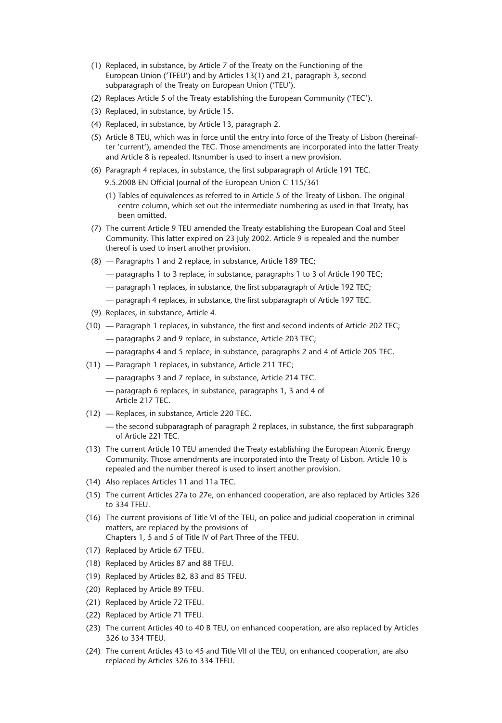- (1) Replaced, in substance, by Article 7 of the Treaty on the Functioning of the European Union ('TFEU') and by Articles 13(1) and 21, paragraph 3, second subparagraph of the Treaty on European Union ('TEU').
- (2) Replaces Article 5 of the Treaty establishing the European Community ('TEC').
- (3) Replaced, in substance, by Article 15.
- (4) Replaced, in substance, by Article 13, paragraph 2.
- (5) Article 8 TEU, which was in force until the entry into force of the Treaty of Lisbon (hereinafter 'current'), amended the TEC. Those amendments are incorporated into the latter Treaty and Article 8 is repealed. Itsnumber is used to insert a new provision.
- (6) Paragraph 4 replaces, in substance, the first subparagraph of Article 191 TEC.
	- 9.5.2008 EN Official Journal of the European Union C 115/361
	- (1) Tables of equivalences as referred to in Article 5 of the Treaty of Lisbon. The original centre column, which set out the intermediate numbering as used in that Treaty, has been omitted.
- (7) The current Article 9 TEU amended the Treaty establishing the European Coal and Steel Community. This latter expired on 23 July 2002. Article 9 is repealed and the number thereof is used to insert another provision.
- (8) Paragraphs 1 and 2 replace, in substance, Article 189 TEC;
	- paragraphs 1 to 3 replace, in substance, paragraphs 1 to 3 of Article 190 TEC;
	- paragraph 1 replaces, in substance, the first subparagraph of Article 192 TEC;
	- paragraph 4 replaces, in substance, the first subparagraph of Article 197 TEC.
- (9) Replaces, in substance, Article 4.
- $(10)$  Paragraph 1 replaces, in substance, the first and second indents of Article 202 TEC;
	- paragraphs 2 and 9 replace, in substance, Article 203 TEC;
	- paragraphs 4 and 5 replace, in substance, paragraphs 2 and 4 of Article 205 TEC.
- (11) Paragraph 1 replaces, in substance, Article 211 TEC;
	- paragraphs 3 and 7 replace, in substance, Article 214 TEC.
	- paragraph 6 replaces, in substance, paragraphs 1, 3 and 4 of Article 217 TEC.
- (12) Replaces, in substance, Article 220 TEC.
	- the second subparagraph of paragraph  $2$  replaces, in substance, the first subparagraph of Article 221 TEC.
- (13) The current Article 10 TEU amended the Treaty establishing the European Atomic Energy Community. Those amendments are incorporated into the Treaty of Lisbon. Article 10 is repealed and the number thereof is used to insert another provision.
- (14) Also replaces Articles 11 and 11a TEC.
- (15) The current Articles 27a to 27e, on enhanced cooperation, are also replaced by Articles 326 to 334 TFEU.
- (16) The current provisions of Title VI of the TEU, on police and judicial cooperation in criminal matters, are replaced by the provisions of Chapters 1, 5 and 5 of Title IV of Part Three of the TFEU.
- (17) Replaced by Article 67 TFEU.
- (18) Replaced by Articles 87 and 88 TFEU.
- (19) Replaced by Articles 82, 83 and 85 TFEU.
- (20) Replaced by Article 89 TFEU.
- (21) Replaced by Article 72 TFEU.
- (22) Replaced by Article 71 TFEU.
- (23) The current Articles 40 to 40 B TEU, on enhanced cooperation, are also replaced by Articles 326 to 334 TFEU.
- (24) The current Articles 43 to 45 and Title VII of the TEU, on enhanced cooperation, are also replaced by Articles 326 to 334 TFEU.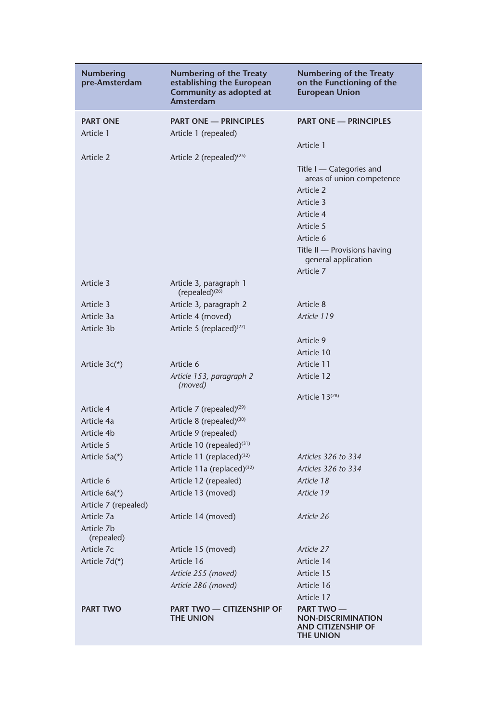| Numbering<br>pre-Amsterdam   | <b>Numbering of the Treaty</b><br>establishing the European<br>Community as adopted at<br>Amsterdam | <b>Numbering of the Treaty</b><br>on the Functioning of the<br><b>European Union</b> |
|------------------------------|-----------------------------------------------------------------------------------------------------|--------------------------------------------------------------------------------------|
| <b>PART ONE</b><br>Article 1 | <b>PART ONE - PRINCIPLES</b><br>Article 1 (repealed)                                                | <b>PART ONE - PRINCIPLES</b>                                                         |
|                              |                                                                                                     | Article 1                                                                            |
| Article 2                    | Article 2 (repealed) $(25)$                                                                         |                                                                                      |
|                              |                                                                                                     | Title I — Categories and<br>areas of union competence                                |
|                              |                                                                                                     | Article 2                                                                            |
|                              |                                                                                                     | Article 3                                                                            |
|                              |                                                                                                     | Article 4                                                                            |
|                              |                                                                                                     | Article 5                                                                            |
|                              |                                                                                                     | Article 6                                                                            |
|                              |                                                                                                     | Title II - Provisions having<br>general application                                  |
|                              |                                                                                                     | Article 7                                                                            |
| Article 3                    | Article 3, paragraph 1<br>$(repealed)^{(26)}$                                                       |                                                                                      |
| Article 3                    | Article 3, paragraph 2                                                                              | Article 8                                                                            |
| Article 3a                   | Article 4 (moved)                                                                                   | Article 119                                                                          |
| Article 3b                   | Article 5 (replaced) $(27)$                                                                         |                                                                                      |
|                              |                                                                                                     | Article 9                                                                            |
|                              |                                                                                                     | Article 10                                                                           |
| Article 3c(*)                | Article 6                                                                                           | Article 11                                                                           |
|                              | Article 153, paragraph 2<br>(moved)                                                                 | Article 12                                                                           |
|                              |                                                                                                     | Article $13^{(28)}$                                                                  |
| Article 4                    | Article 7 (repealed) $(29)$                                                                         |                                                                                      |
| Article 4a                   | Article 8 (repealed) $(30)$                                                                         |                                                                                      |
| Article 4b                   | Article 9 (repealed)                                                                                |                                                                                      |
| Article 5                    | Article 10 (repealed) <sup>(31)</sup>                                                               |                                                                                      |
| Article 5a(*)                | Article 11 (replaced) $(32)$                                                                        | Articles 326 to 334                                                                  |
|                              | Article 11a (replaced) <sup>(32)</sup>                                                              | Articles 326 to 334                                                                  |
| Article 6                    | Article 12 (repealed)                                                                               | Article 18                                                                           |
| Article $6a(*)$              | Article 13 (moved)                                                                                  | Article 19                                                                           |
| Article 7 (repealed)         |                                                                                                     |                                                                                      |
| Article 7a                   | Article 14 (moved)                                                                                  | Article 26                                                                           |
| Article 7b<br>(repealed)     |                                                                                                     |                                                                                      |
| Article 7c                   | Article 15 (moved)                                                                                  | Article 27                                                                           |
| Article 7d(*)                | Article 16                                                                                          | Article 14                                                                           |
|                              | Article 255 (moved)                                                                                 | Article 15                                                                           |
|                              | Article 286 (moved)                                                                                 | Article 16                                                                           |
|                              |                                                                                                     | Article 17                                                                           |
| <b>PART TWO</b>              | <b>PART TWO - CITIZENSHIP OF</b><br><b>THE UNION</b>                                                | <b>PART TWO-</b><br><b>NON-DISCRIMINATION</b><br>AND CITIZENSHIP OF<br>THE UNION     |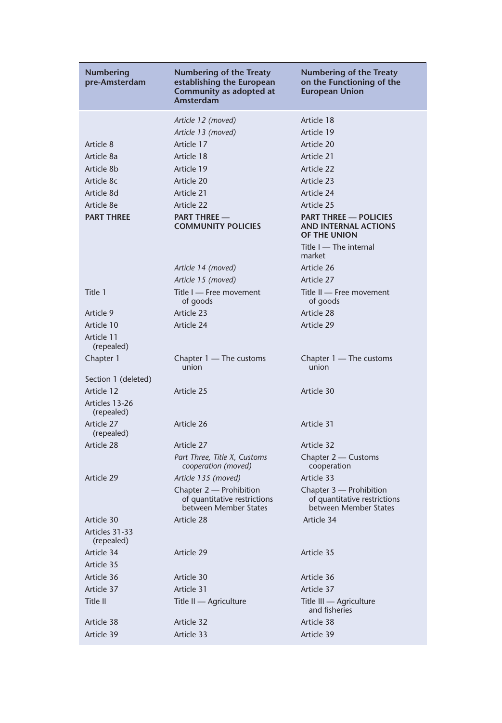| <b>Numbering</b><br>pre-Amsterdam | <b>Numbering of the Treaty</b><br>establishing the European<br>Community as adopted at<br>Amsterdam | <b>Numbering of the Treaty</b><br>on the Functioning of the<br><b>European Union</b> |
|-----------------------------------|-----------------------------------------------------------------------------------------------------|--------------------------------------------------------------------------------------|
|                                   | Article 12 (moved)                                                                                  | Article 18                                                                           |
|                                   | Article 13 (moved)                                                                                  | Article 19                                                                           |
| Article 8                         | Article 17                                                                                          | Article 20                                                                           |
| Article 8a                        | Article 18                                                                                          | Article 21                                                                           |
| Article 8b                        | Article 19                                                                                          | Article 22                                                                           |
| Article 8c                        | Article 20                                                                                          | Article 23                                                                           |
| Article 8d                        | Article 21                                                                                          | Article 24                                                                           |
| Article 8e                        | Article 22                                                                                          | Article 25                                                                           |
| <b>PART THREE</b>                 | <b>PART THREE -</b><br><b>COMMUNITY POLICIES</b>                                                    | <b>PART THREE - POLICIES</b><br>AND INTERNAL ACTIONS<br>OF THE UNION                 |
|                                   |                                                                                                     | Title I — The internal<br>market                                                     |
|                                   | Article 14 (moved)                                                                                  | Article 26                                                                           |
|                                   | Article 15 (moved)                                                                                  | Article 27                                                                           |
| Title 1                           | Title I - Free movement<br>of goods                                                                 | Title II - Free movement<br>of goods                                                 |
| Article 9                         | Article 23                                                                                          | Article 28                                                                           |
| Article 10                        | Article 24                                                                                          | Article 29                                                                           |
| Article 11<br>(repealed)          |                                                                                                     |                                                                                      |
| Chapter 1                         | Chapter 1 — The customs<br>union                                                                    | Chapter $1 -$ The customs<br>union                                                   |
| Section 1 (deleted)               |                                                                                                     |                                                                                      |
| Article 12                        | Article 25                                                                                          | Article 30                                                                           |
| Articles 13-26<br>(repealed)      |                                                                                                     |                                                                                      |
| Article 27<br>(repealed)          | Article 26                                                                                          | Article 31                                                                           |
| Article 28                        | Article 27                                                                                          | Article 32                                                                           |
|                                   | Part Three, Title X, Customs<br>cooperation (moved)                                                 | Chapter 2 - Customs<br>cooperation                                                   |
| Article 29                        | Article 135 (moved)                                                                                 | Article 33                                                                           |
|                                   | Chapter 2 — Prohibition<br>of quantitative restrictions<br>between Member States                    | Chapter 3 - Prohibition<br>of quantitative restrictions<br>between Member States     |
| Article 30                        | Article 28                                                                                          | Article 34                                                                           |
| Articles 31-33<br>(repealed)      |                                                                                                     |                                                                                      |
| Article 34                        | Article 29                                                                                          | Article 35                                                                           |
| Article 35                        |                                                                                                     |                                                                                      |
| Article 36                        | Article 30                                                                                          | Article 36                                                                           |
| Article 37                        | Article 31                                                                                          | Article 37                                                                           |
| Title II                          | Title II - Agriculture                                                                              | Title III - Agriculture<br>and fisheries                                             |
| Article 38                        | Article 32                                                                                          | Article 38                                                                           |
| Article 39                        | Article 33                                                                                          | Article 39                                                                           |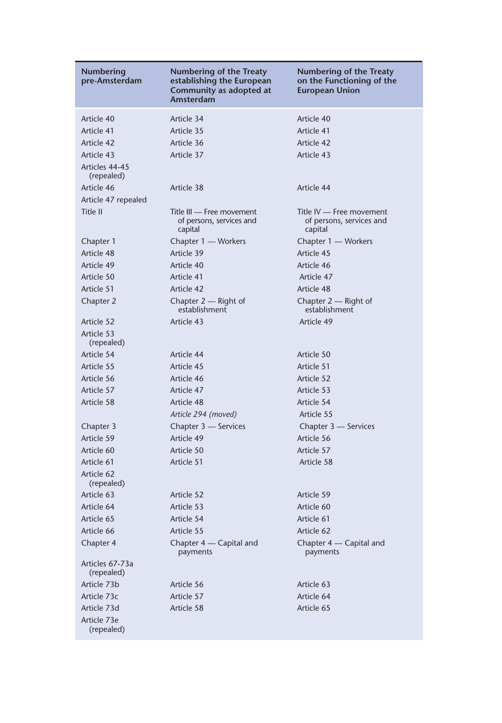| Numbering<br>pre-Amsterdam    | Numbering of the Treaty<br>establishing the European<br>Community as adopted at<br>Amsterdam | <b>Numbering of the Treaty</b><br>on the Functioning of the<br><b>European Union</b> |
|-------------------------------|----------------------------------------------------------------------------------------------|--------------------------------------------------------------------------------------|
| Article 40                    | Article 34                                                                                   | Article 40                                                                           |
| Article 41                    | Article 35                                                                                   | Article 41                                                                           |
| Article 42                    | Article 36                                                                                   | Article 42                                                                           |
| Article 43                    | Article 37                                                                                   | Article 43                                                                           |
| Articles 44-45<br>(repealed)  |                                                                                              |                                                                                      |
| Article 46                    | Article 38                                                                                   | Article 44                                                                           |
| Article 47 repealed           |                                                                                              |                                                                                      |
| Title II                      | Title III — Free movement<br>of persons, services and<br>capital                             | Title IV — Free movement<br>of persons, services and<br>capital                      |
| Chapter 1                     | Chapter 1 — Workers                                                                          | Chapter 1 - Workers                                                                  |
| Article 48                    | Article 39                                                                                   | Article 45                                                                           |
| Article 49                    | Article 40                                                                                   | Article 46                                                                           |
| Article 50                    | Article 41                                                                                   | Article 47                                                                           |
| Article 51                    | Article 42                                                                                   | Article 48                                                                           |
| Chapter 2                     | Chapter $2$ — Right of<br>establishment                                                      | Chapter $2$ — Right of<br>establishment                                              |
| Article 52                    | Article 43                                                                                   | Article 49                                                                           |
| Article 53<br>(repealed)      |                                                                                              |                                                                                      |
| Article 54                    | Article 44                                                                                   | Article 50                                                                           |
| Article 55                    | Article 45                                                                                   | Article 51                                                                           |
| Article 56                    | Article 46                                                                                   | Article 52                                                                           |
| Article 57                    | Article 47                                                                                   | Article 53                                                                           |
| Article 58                    | Article 48                                                                                   | Article 54                                                                           |
|                               | Article 294 (moved)                                                                          | Article 55                                                                           |
| Chapter 3                     | Chapter 3 - Services                                                                         | Chapter 3 - Services                                                                 |
| Article 59                    | Article 49                                                                                   | Article 56                                                                           |
| Article 60                    | Article 50                                                                                   | Article 57                                                                           |
| Article 61                    | Article 51                                                                                   | Article 58                                                                           |
| Article 62<br>(repealed)      |                                                                                              |                                                                                      |
| Article 63                    | Article 52                                                                                   | Article 59                                                                           |
| Article 64                    | Article 53                                                                                   | Article 60                                                                           |
| Article 65                    | Article 54                                                                                   | Article 61                                                                           |
| Article 66                    | Article 55                                                                                   | Article 62                                                                           |
| Chapter 4                     | Chapter 4 — Capital and<br>payments                                                          | Chapter 4 — Capital and<br>payments                                                  |
| Articles 67-73a<br>(repealed) |                                                                                              |                                                                                      |
| Article 73b                   | Article 56                                                                                   | Article 63                                                                           |
| Article 73c                   | Article 57                                                                                   | Article 64                                                                           |
| Article 73d                   | Article 58                                                                                   | Article 65                                                                           |
| Article 73e<br>(repealed)     |                                                                                              |                                                                                      |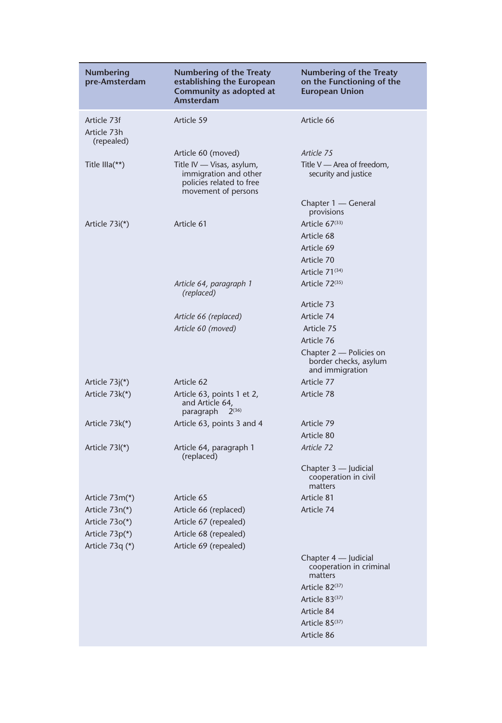| <b>Numbering</b><br>pre-Amsterdam        | <b>Numbering of the Treaty</b><br>establishing the European<br>Community as adopted at<br>Amsterdam   | <b>Numbering of the Treaty</b><br>on the Functioning of the<br><b>European Union</b> |
|------------------------------------------|-------------------------------------------------------------------------------------------------------|--------------------------------------------------------------------------------------|
| Article 73f<br>Article 73h<br>(repealed) | Article 59                                                                                            | Article 66                                                                           |
|                                          | Article 60 (moved)                                                                                    | Article 75                                                                           |
| Title IIIa $(**)$                        | Title IV — Visas, asylum,<br>immigration and other<br>policies related to free<br>movement of persons | Title $V$ — Area of freedom,<br>security and justice                                 |
|                                          |                                                                                                       | Chapter 1 - General<br>provisions                                                    |
| Article $73i(*)$                         | Article 61                                                                                            | Article $67^{(33)}$                                                                  |
|                                          |                                                                                                       | Article 68                                                                           |
|                                          |                                                                                                       | Article 69                                                                           |
|                                          |                                                                                                       | Article 70                                                                           |
|                                          |                                                                                                       | Article 71 <sup>(34)</sup>                                                           |
|                                          | Article 64, paragraph 1<br>(replaced)                                                                 | Article 72 <sup>(35)</sup>                                                           |
|                                          |                                                                                                       | Article 73                                                                           |
|                                          | Article 66 (replaced)                                                                                 | Article 74                                                                           |
|                                          | Article 60 (moved)                                                                                    | Article 75                                                                           |
|                                          |                                                                                                       | Article 76                                                                           |
|                                          |                                                                                                       | Chapter 2 - Policies on<br>border checks, asylum<br>and immigration                  |
| Article $73j(*)$                         | Article 62                                                                                            | Article 77                                                                           |
| Article 73k(*)                           | Article 63, points 1 et 2,<br>and Article 64,<br>$2^{(36)}$<br>paragraph                              | Article 78                                                                           |
| Article $73k(*)$                         | Article 63, points 3 and 4                                                                            | Article 79                                                                           |
|                                          |                                                                                                       | Article 80                                                                           |
| Article $73\frac{1}{2}$                  | Article 64, paragraph 1<br>(replaced)                                                                 | Article 72                                                                           |
|                                          |                                                                                                       | Chapter 3 — Judicial<br>cooperation in civil<br>matters                              |
| Article $73m(*)$                         | Article 65                                                                                            | Article 81                                                                           |
| Article 73n(*)                           | Article 66 (replaced)                                                                                 | Article 74                                                                           |
| Article $730(*)$                         | Article 67 (repealed)                                                                                 |                                                                                      |
| Article 73p(*)                           | Article 68 (repealed)                                                                                 |                                                                                      |
| Article 73q (*)                          | Article 69 (repealed)                                                                                 |                                                                                      |
|                                          |                                                                                                       | Chapter 4 - Judicial<br>cooperation in criminal<br>matters                           |
|                                          |                                                                                                       | Article $82^{(37)}$                                                                  |
|                                          |                                                                                                       | Article 83 <sup>(37)</sup>                                                           |
|                                          |                                                                                                       | Article 84                                                                           |
|                                          |                                                                                                       | Article 85 <sup>(37)</sup>                                                           |
|                                          |                                                                                                       | Article 86                                                                           |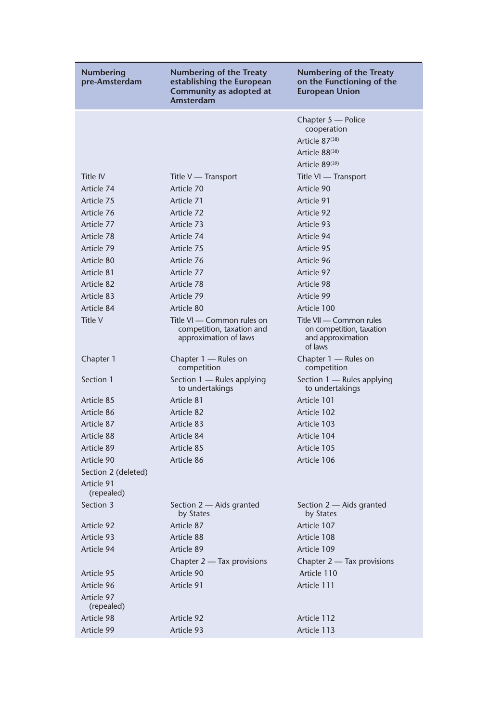| Numbering<br>pre-Amsterdam                      | <b>Numbering of the Treaty</b><br>establishing the European<br>Community as adopted at<br>Amsterdam | <b>Numbering of the Treaty</b><br>on the Functioning of the<br><b>European Union</b>                            |
|-------------------------------------------------|-----------------------------------------------------------------------------------------------------|-----------------------------------------------------------------------------------------------------------------|
|                                                 |                                                                                                     | Chapter 5 - Police<br>cooperation<br>Article 87(38)<br>Article 88 <sup>(38)</sup><br>Article 89 <sup>(39)</sup> |
| Title IV                                        | Title V — Transport                                                                                 |                                                                                                                 |
| Article 74                                      | Article 70                                                                                          | Title VI — Transport<br>Article 90                                                                              |
| Article 75                                      | Article 71                                                                                          | Article 91                                                                                                      |
| Article 76                                      | Article 72                                                                                          | Article 92                                                                                                      |
| Article 77                                      | Article 73                                                                                          | Article 93                                                                                                      |
| Article 78                                      | Article 74                                                                                          | Article 94                                                                                                      |
| Article 79                                      | Article 75                                                                                          | Article 95                                                                                                      |
| Article 80                                      | Article 76                                                                                          | Article 96                                                                                                      |
| Article 81                                      | Article 77                                                                                          | Article 97                                                                                                      |
| Article 82                                      | Article 78                                                                                          | Article 98                                                                                                      |
| Article 83                                      | Article 79                                                                                          | Article 99                                                                                                      |
| Article 84                                      | Article 80                                                                                          | Article 100                                                                                                     |
| Title V                                         | Title VI — Common rules on<br>competition, taxation and<br>approximation of laws                    | Title VII — Common rules<br>on competition, taxation<br>and approximation<br>of laws                            |
| Chapter 1                                       | Chapter 1 — Rules on<br>competition                                                                 | Chapter 1 - Rules on<br>competition                                                                             |
| Section 1                                       | Section 1 — Rules applying<br>to undertakings                                                       | Section 1 - Rules applying<br>to undertakings                                                                   |
| Article 85                                      | Article 81                                                                                          | Article 101                                                                                                     |
| Article 86                                      | Article 82                                                                                          | Article 102                                                                                                     |
| Article 87                                      | Article 83                                                                                          | Article 103                                                                                                     |
| Article 88                                      | Article 84                                                                                          | Article 104                                                                                                     |
| Article 89                                      | Article 85                                                                                          | Article 105                                                                                                     |
| Article 90                                      | Article 86                                                                                          | Article 106                                                                                                     |
| Section 2 (deleted)<br>Article 91<br>(repealed) |                                                                                                     |                                                                                                                 |
| Section 3                                       | Section 2 – Aids granted<br>by States                                                               | Section 2 – Aids granted<br>by States                                                                           |
| Article 92                                      | Article 87                                                                                          | Article 107                                                                                                     |
| Article 93                                      | Article 88                                                                                          | Article 108                                                                                                     |
| Article 94                                      | Article 89                                                                                          | Article 109                                                                                                     |
|                                                 | Chapter 2 - Tax provisions                                                                          | Chapter 2 - Tax provisions                                                                                      |
| Article 95                                      | Article 90                                                                                          | Article 110                                                                                                     |
| Article 96                                      | Article 91                                                                                          | Article 111                                                                                                     |
| Article 97<br>(repealed)                        |                                                                                                     |                                                                                                                 |
| Article 98                                      | Article 92                                                                                          | Article 112                                                                                                     |
| Article 99                                      | Article 93                                                                                          | Article 113                                                                                                     |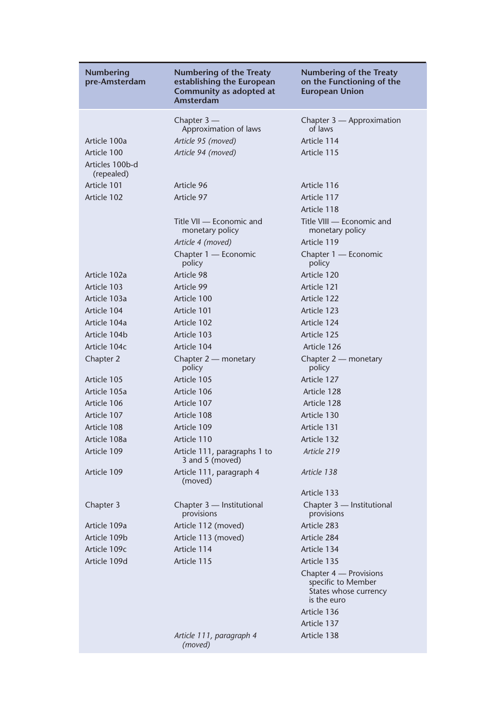| Numbering<br>pre-Amsterdam    | <b>Numbering of the Treaty</b><br>establishing the European<br>Community as adopted at<br>Amsterdam | Numbering of the Treaty<br>on the Functioning of the<br><b>European Union</b>                       |
|-------------------------------|-----------------------------------------------------------------------------------------------------|-----------------------------------------------------------------------------------------------------|
|                               | Chapter $3-$                                                                                        | Chapter 3 - Approximation                                                                           |
|                               | Approximation of laws                                                                               | of laws                                                                                             |
| Article 100a                  | Article 95 (moved)                                                                                  | Article 114                                                                                         |
| Article 100                   | Article 94 (moved)                                                                                  | Article 115                                                                                         |
| Articles 100b-d<br>(repealed) |                                                                                                     |                                                                                                     |
| Article 101                   | Article 96                                                                                          | Article 116                                                                                         |
| Article 102                   | Article 97                                                                                          | Article 117                                                                                         |
|                               |                                                                                                     | Article 118                                                                                         |
|                               | Title VII — Economic and<br>monetary policy                                                         | Title VIII - Economic and<br>monetary policy                                                        |
|                               | Article 4 (moved)                                                                                   | Article 119                                                                                         |
|                               | Chapter 1 - Economic<br>policy                                                                      | Chapter 1 — Economic<br>policy                                                                      |
| Article 102a                  | Article 98                                                                                          | Article 120                                                                                         |
| Article 103                   | Article 99                                                                                          | Article 121                                                                                         |
| Article 103a                  | Article 100                                                                                         | Article 122                                                                                         |
| Article 104                   | Article 101                                                                                         | Article 123                                                                                         |
| Article 104a                  | Article 102                                                                                         | Article 124                                                                                         |
| Article 104b                  | Article 103                                                                                         | Article 125                                                                                         |
| Article 104c                  | Article 104                                                                                         | Article 126                                                                                         |
| Chapter 2                     | Chapter 2 - monetary<br>policy                                                                      | Chapter 2 - monetary<br>policy                                                                      |
| Article 105                   | Article 105                                                                                         | Article 127                                                                                         |
| Article 105a                  | Article 106                                                                                         | Article 128                                                                                         |
| Article 106                   | Article 107                                                                                         | Article 128                                                                                         |
| Article 107                   | Article 108                                                                                         | Article 130                                                                                         |
| Article 108                   | Article 109                                                                                         | Article 131                                                                                         |
| Article 108a                  | Article 110                                                                                         | Article 132                                                                                         |
| Article 109                   | Article 111, paragraphs 1 to<br>3 and 5 (moved)                                                     | Article 219                                                                                         |
| Article 109                   | Article 111, paragraph 4<br>(moved)                                                                 | Article 138                                                                                         |
|                               |                                                                                                     | Article 133                                                                                         |
| Chapter 3                     | Chapter 3 - Institutional<br>provisions                                                             | Chapter 3 - Institutional<br>provisions                                                             |
| Article 109a                  | Article 112 (moved)                                                                                 | Article 283                                                                                         |
| Article 109b                  | Article 113 (moved)                                                                                 | Article 284                                                                                         |
| Article 109c                  | Article 114                                                                                         | Article 134                                                                                         |
| Article 109d                  | Article 115                                                                                         | Article 135                                                                                         |
|                               |                                                                                                     | Chapter 4 — Provisions<br>specific to Member<br>States whose currency<br>is the euro<br>Article 136 |
|                               |                                                                                                     | Article 137                                                                                         |
|                               | Article 111, paragraph 4<br>(moved)                                                                 | Article 138                                                                                         |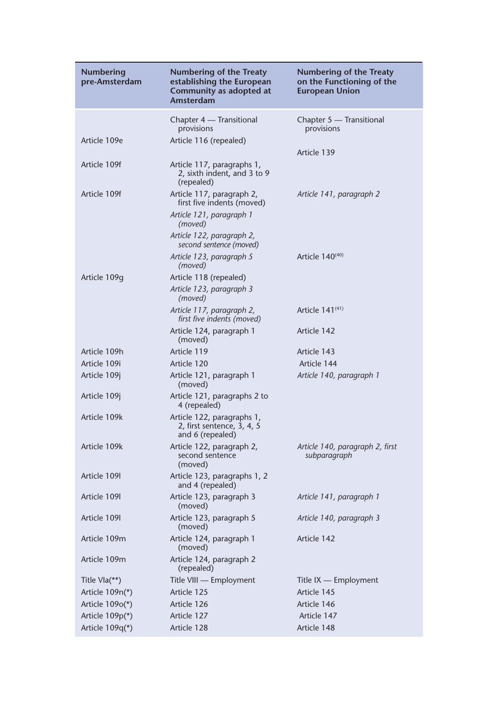| Numbering<br>pre-Amsterdam | <b>Numbering of the Treaty</b><br>establishing the European<br>Community as adopted at<br>Amsterdam | Numbering of the Treaty<br>on the Functioning of the<br><b>European Union</b> |
|----------------------------|-----------------------------------------------------------------------------------------------------|-------------------------------------------------------------------------------|
|                            | Chapter 4 — Transitional<br>provisions                                                              | Chapter 5 — Transitional<br>provisions                                        |
| Article 109e               | Article 116 (repealed)                                                                              | Article 139                                                                   |
| Article 109f               | Article 117, paragraphs 1,<br>2, sixth indent, and 3 to 9<br>(repealed)                             |                                                                               |
| Article 109f               | Article 117, paragraph 2,<br>first five indents (moved)                                             | Article 141, paragraph 2                                                      |
|                            | Article 121, paragraph 1<br>(moved)                                                                 |                                                                               |
|                            | Article 122, paragraph 2,<br>second sentence (moved)                                                |                                                                               |
|                            | Article 123, paragraph 5<br>(moved)                                                                 | Article 140 <sup>(40)</sup>                                                   |
| Article 109g               | Article 118 (repealed)                                                                              |                                                                               |
|                            | Article 123, paragraph 3<br>(moved)                                                                 |                                                                               |
|                            | Article 117, paragraph 2,<br>first five indents (moved)                                             | Article $141^{(41)}$                                                          |
|                            | Article 124, paragraph 1<br>(moved)                                                                 | Article 142                                                                   |
| Article 109h               | Article 119                                                                                         | Article 143                                                                   |
| Article 109i               | Article 120                                                                                         | Article 144                                                                   |
| Article 109j               | Article 121, paragraph 1<br>(moved)                                                                 | Article 140, paragraph 1                                                      |
| Article 109j               | Article 121, paragraphs 2 to<br>4 (repealed)                                                        |                                                                               |
| Article 109k               | Article 122, paragraphs 1,<br>2, first sentence, 3, 4, 5<br>and 6 (repealed)                        |                                                                               |
| Article 109k               | Article 122, paragraph 2,<br>second sentence<br>(moved)                                             | Article 140, paragraph 2, first<br>subparagraph                               |
| Article 109                | Article 123, paragraphs 1, 2<br>and 4 (repealed)                                                    |                                                                               |
| Article 1091               | Article 123, paragraph 3<br>(moved)                                                                 | Article 141, paragraph 1                                                      |
| Article 109                | Article 123, paragraph 5<br>(moved)                                                                 | Article 140, paragraph 3                                                      |
| Article 109m               | Article 124, paragraph 1<br>(moved)                                                                 | Article 142                                                                   |
| Article 109m               | Article 124, paragraph 2<br>(repealed)                                                              |                                                                               |
| Title Vla(**)              | Title VIII - Employment                                                                             | Title $IX$ — Employment                                                       |
| Article 109n(*)            | Article 125                                                                                         | Article 145                                                                   |
| Article 109o(*)            | Article 126                                                                                         | Article 146                                                                   |
| Article 109p(*)            | Article 127                                                                                         | Article 147                                                                   |
| Article 109q(*)            | Article 128                                                                                         | Article 148                                                                   |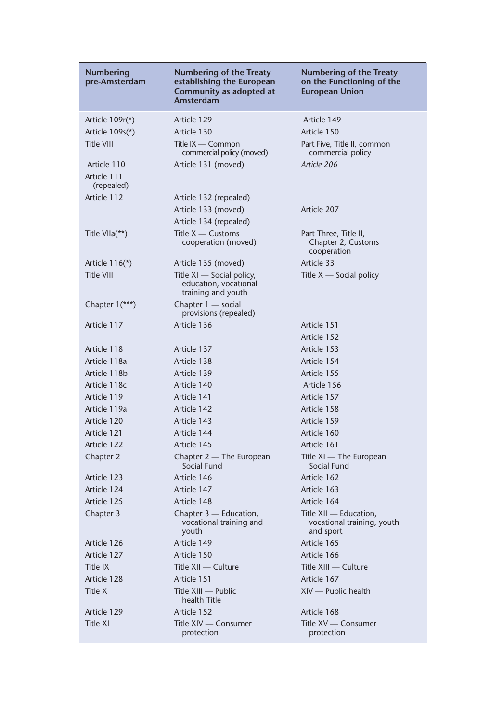| Numbering<br>pre-Amsterdam               | Numbering of the Treaty<br>establishing the European<br>Community as adopted at<br>Amsterdam | <b>Numbering of the Treaty</b><br>on the Functioning of the<br>European Union |
|------------------------------------------|----------------------------------------------------------------------------------------------|-------------------------------------------------------------------------------|
| Article $109r*$                          | Article 129                                                                                  | Article 149                                                                   |
| Article $109s(*)$                        | Article 130                                                                                  | Article 150                                                                   |
| <b>Title VIII</b>                        | Title IX — Common<br>commercial policy (moved)                                               | Part Five, Title II, common<br>commercial policy                              |
| Article 110<br>Article 111<br>(repealed) | Article 131 (moved)                                                                          | Article 206                                                                   |
| Article 112                              | Article 132 (repealed)                                                                       |                                                                               |
|                                          | Article 133 (moved)                                                                          | Article 207                                                                   |
|                                          | Article 134 (repealed)                                                                       |                                                                               |
| Title VIIa(**)                           | Title $X -$ Customs<br>cooperation (moved)                                                   | Part Three, Title II,<br>Chapter 2, Customs<br>cooperation                    |
| Article $116(*)$                         | Article 135 (moved)                                                                          | Article 33                                                                    |
| <b>Title VIII</b>                        | Title XI — Social policy,<br>education, vocational<br>training and youth                     | Title $X$ — Social policy                                                     |
| Chapter 1(***)                           | Chapter 1 — social<br>provisions (repealed)                                                  |                                                                               |
| Article 117                              | Article 136                                                                                  | Article 151                                                                   |
|                                          |                                                                                              | Article 152                                                                   |
| Article 118                              | Article 137                                                                                  | Article 153                                                                   |
| Article 118a                             | Article 138                                                                                  | Article 154                                                                   |
| Article 118b                             | Article 139                                                                                  | Article 155                                                                   |
| Article 118c                             | Article 140                                                                                  | Article 156                                                                   |
| Article 119                              | Article 141                                                                                  | Article 157                                                                   |
| Article 119a                             | Article 142                                                                                  | Article 158                                                                   |
| Article 120                              | Article 143                                                                                  | Article 159                                                                   |
| Article 121                              | Article 144                                                                                  | Article 160                                                                   |
| Article 122                              | Article 145                                                                                  | Article 161                                                                   |
| Chapter 2                                | Chapter 2 — The European<br>Social Fund                                                      | Title XI — The European<br>Social Fund                                        |
| Article 123                              | Article 146                                                                                  | Article 162                                                                   |
| Article 124                              | Article 147                                                                                  | Article 163                                                                   |
| Article 125                              | Article 148                                                                                  | Article 164                                                                   |
| Chapter 3                                | Chapter 3 — Education,<br>vocational training and<br>youth                                   | Title XII — Education,<br>vocational training, youth<br>and sport             |
| Article 126                              | Article 149                                                                                  | Article 165                                                                   |
| Article 127                              | Article 150                                                                                  | Article 166                                                                   |
| <b>Title IX</b>                          | Title XII - Culture                                                                          | Title XIII - Culture                                                          |
| Article 128                              | Article 151                                                                                  | Article 167                                                                   |
| Title X                                  | Title XIII - Public<br>health Title                                                          | XIV - Public health                                                           |
| Article 129                              | Article 152                                                                                  | Article 168                                                                   |
| <b>Title XI</b>                          | Title XIV - Consumer<br>protection                                                           | Title XV - Consumer<br>protection                                             |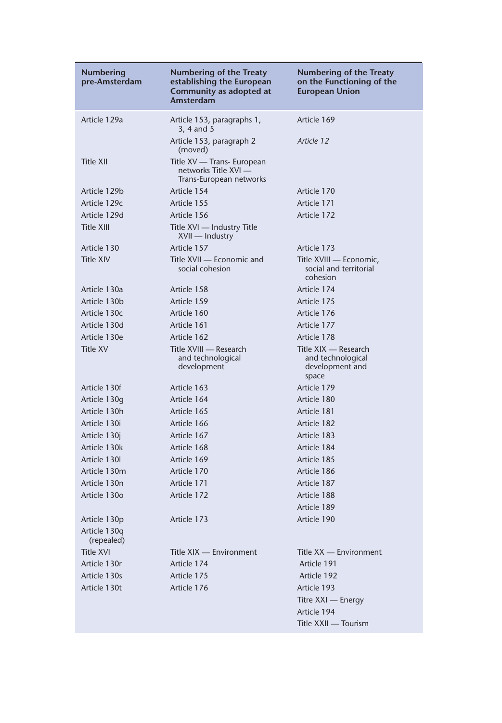| <b>Numbering</b><br>pre-Amsterdam | Numbering of the Treaty<br>establishing the European<br>Community as adopted at<br>Amsterdam | <b>Numbering of the Treaty</b><br>on the Functioning of the<br><b>European Union</b> |
|-----------------------------------|----------------------------------------------------------------------------------------------|--------------------------------------------------------------------------------------|
| Article 129a                      | Article 153, paragraphs 1,<br>3, 4 and 5                                                     | Article 169                                                                          |
|                                   | Article 153, paragraph 2<br>(moved)                                                          | Article 12                                                                           |
| Title XII                         | Title XV — Trans- European<br>networks Title XVI —<br>Trans-European networks                |                                                                                      |
| Article 129b                      | Article 154                                                                                  | Article 170                                                                          |
| Article 129c                      | Article 155                                                                                  | Article 171                                                                          |
| Article 129d                      | Article 156                                                                                  | Article 172                                                                          |
| <b>Title XIII</b>                 | Title XVI - Industry Title<br>XVII — Industry                                                |                                                                                      |
| Article 130                       | Article 157                                                                                  | Article 173                                                                          |
| <b>Title XIV</b>                  | Title XVII - Economic and<br>social cohesion                                                 | Title XVIII — Economic,<br>social and territorial<br>cohesion                        |
| Article 130a                      | Article 158                                                                                  | Article 174                                                                          |
| Article 130b                      | Article 159                                                                                  | Article 175                                                                          |
| Article 130c                      | Article 160                                                                                  | Article 176                                                                          |
| Article 130d                      | Article 161                                                                                  | Article 177                                                                          |
| Article 130e                      | Article 162                                                                                  | Article 178                                                                          |
| <b>Title XV</b>                   | Title XVIII - Research<br>and technological<br>development                                   | Title XIX — Research<br>and technological<br>development and<br>space                |
| Article 130f                      | Article 163                                                                                  | Article 179                                                                          |
| Article 130g                      | Article 164                                                                                  | Article 180                                                                          |
| Article 130h                      | Article 165                                                                                  | Article 181                                                                          |
| Article 130i                      | Article 166                                                                                  | Article 182                                                                          |
| Article 130j                      | Article 167                                                                                  | Article 183                                                                          |
| Article 130k                      | Article 168                                                                                  | Article 184                                                                          |
| Article 130I                      | Article 169                                                                                  | Article 185                                                                          |
| Article 130m                      | Article 170                                                                                  | Article 186                                                                          |
| Article 130n                      | Article 171                                                                                  | Article 187                                                                          |
| Article 130o                      | Article 172                                                                                  | Article 188                                                                          |
|                                   |                                                                                              | Article 189                                                                          |
| Article 130p                      | Article 173                                                                                  | Article 190                                                                          |
| Article 130q<br>(repealed)        |                                                                                              |                                                                                      |
| <b>Title XVI</b>                  | Title XIX - Environment                                                                      | Title XX - Environment                                                               |
| Article 130r                      | Article 174                                                                                  | Article 191                                                                          |
| Article 130s                      | Article 175                                                                                  | Article 192                                                                          |
| Article 130t                      | Article 176                                                                                  | Article 193                                                                          |
|                                   |                                                                                              | Titre XXI - Energy                                                                   |
|                                   |                                                                                              | Article 194                                                                          |
|                                   |                                                                                              | Title XXII - Tourism                                                                 |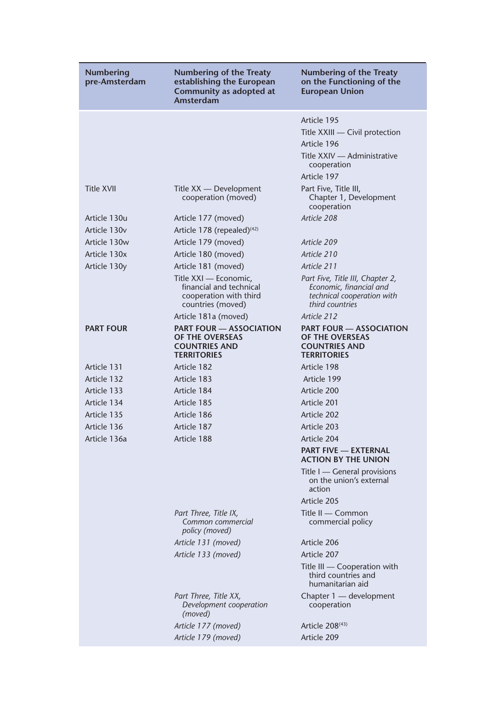| <b>Numbering</b><br>pre-Amsterdam                                        | Numbering of the Treaty<br>establishing the European<br>Community as adopted at<br><b>Amsterdam</b>                     | Numbering of the Treaty<br>on the Functioning of the<br><b>European Union</b>                                               |
|--------------------------------------------------------------------------|-------------------------------------------------------------------------------------------------------------------------|-----------------------------------------------------------------------------------------------------------------------------|
|                                                                          |                                                                                                                         | Article 195<br>Title XXIII - Civil protection<br>Article 196<br>Title XXIV — Administrative<br>cooperation                  |
| <b>Title XVII</b>                                                        | Title XX — Development<br>cooperation (moved)                                                                           | Article 197<br>Part Five, Title III,<br>Chapter 1, Development<br>cooperation                                               |
| Article 130u<br>Article 130 <sub>v</sub><br>Article 130w<br>Article 130x | Article 177 (moved)<br>Article 178 (repealed) <sup>(42)</sup><br>Article 179 (moved)<br>Article 180 (moved)             | Article 208<br>Article 209<br>Article 210                                                                                   |
| Article 130y                                                             | Article 181 (moved)<br>Title XXI - Economic,<br>financial and technical<br>cooperation with third<br>countries (moved)  | Article 211<br>Part Five, Title III, Chapter 2,<br>Economic, financial and<br>technical cooperation with<br>third countries |
| <b>PART FOUR</b>                                                         | Article 181a (moved)<br><b>PART FOUR - ASSOCIATION</b><br>OF THE OVERSEAS<br><b>COUNTRIES AND</b><br><b>TERRITORIES</b> | Article 212<br><b>PART FOUR - ASSOCIATION</b><br>OF THE OVERSEAS<br><b>COUNTRIES AND</b><br><b>TERRITORIES</b>              |
| Article 131<br>Article 132                                               | Article 182<br>Article 183                                                                                              | Article 198<br>Article 199                                                                                                  |
| Article 133<br>Article 134                                               | Article 184<br>Article 185                                                                                              | Article 200<br>Article 201                                                                                                  |
| Article 135<br>Article 136                                               | Article 186<br>Article 187                                                                                              | Article 202<br>Article 203                                                                                                  |
| Article 136a                                                             | Article 188                                                                                                             | Article 204<br><b>PART FIVE - EXTERNAL</b><br><b>ACTION BY THE UNION</b>                                                    |
|                                                                          |                                                                                                                         | Title I — General provisions<br>on the union's external<br>action<br>Article 205                                            |
|                                                                          | Part Three, Title IX,<br>Common commercial<br>policy (moved)                                                            | Title II - Common<br>commercial policy                                                                                      |
|                                                                          | Article 131 (moved)                                                                                                     | Article 206                                                                                                                 |
|                                                                          | Article 133 (moved)                                                                                                     | Article 207                                                                                                                 |
|                                                                          |                                                                                                                         | Title III - Cooperation with<br>third countries and<br>humanitarian aid                                                     |
|                                                                          | Part Three, Title XX,<br>Development cooperation<br>(moved)                                                             | Chapter 1 - development<br>cooperation                                                                                      |
|                                                                          | Article 177 (moved)                                                                                                     | Article 208 <sup>(43)</sup>                                                                                                 |
|                                                                          | Article 179 (moved)                                                                                                     | Article 209                                                                                                                 |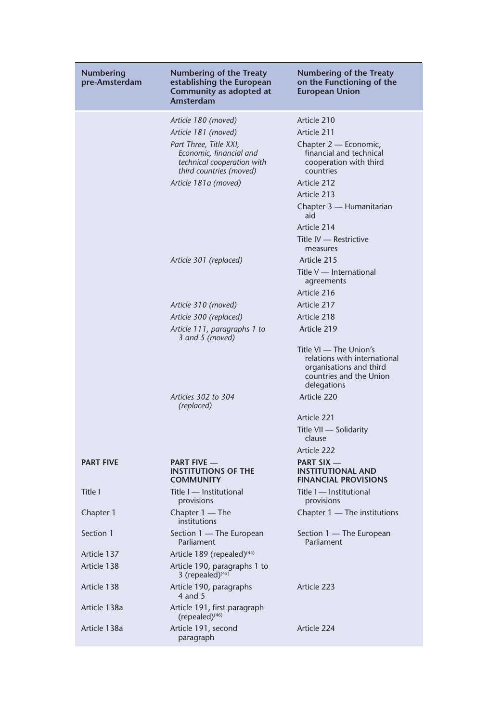| Numbering<br>pre-Amsterdam | <b>Numbering of the Treaty</b><br>establishing the European<br>Community as adopted at<br>Amsterdam        | <b>Numbering of the Treaty</b><br>on the Functioning of the<br><b>European Union</b>                                        |
|----------------------------|------------------------------------------------------------------------------------------------------------|-----------------------------------------------------------------------------------------------------------------------------|
|                            | Article 180 (moved)                                                                                        | Article 210                                                                                                                 |
|                            | Article 181 (moved)                                                                                        | Article 211                                                                                                                 |
|                            | Part Three, Title XXI,<br>Economic, financial and<br>technical cooperation with<br>third countries (moved) | Chapter 2 — Economic,<br>financial and technical<br>cooperation with third<br>countries                                     |
|                            | Article 181a (moved)                                                                                       | Article 212                                                                                                                 |
|                            |                                                                                                            | Article 213                                                                                                                 |
|                            |                                                                                                            | Chapter 3 — Humanitarian<br>aid                                                                                             |
|                            |                                                                                                            | Article 214                                                                                                                 |
|                            |                                                                                                            | Title IV - Restrictive<br>measures                                                                                          |
|                            | Article 301 (replaced)                                                                                     | Article 215                                                                                                                 |
|                            |                                                                                                            | Title V - International<br>agreements                                                                                       |
|                            |                                                                                                            | Article 216                                                                                                                 |
|                            | Article 310 (moved)                                                                                        | Article 217                                                                                                                 |
|                            | Article 300 (replaced)                                                                                     | Article 218                                                                                                                 |
|                            | Article 111, paragraphs 1 to<br>3 and 5 (moved)                                                            | Article 219                                                                                                                 |
|                            |                                                                                                            | Title VI - The Union's<br>relations with international<br>organisations and third<br>countries and the Union<br>delegations |
|                            | Articles 302 to 304<br>(replaced)                                                                          | Article 220                                                                                                                 |
|                            |                                                                                                            | Article 221                                                                                                                 |
|                            |                                                                                                            | Title VII - Solidarity<br>clause                                                                                            |
|                            |                                                                                                            | Article 222                                                                                                                 |
| <b>PART FIVE</b>           | <b>PART FIVE</b> —<br><b>INSTITUTIONS OF THE</b><br><b>COMMUNITY</b>                                       | <b>PART SIX</b> —<br><b>INSTITUTIONAL AND</b><br><b>FINANCIAL PROVISIONS</b>                                                |
| Title I                    | Title I — Institutional<br>provisions                                                                      | Title I — Institutional<br>provisions                                                                                       |
| Chapter 1                  | Chapter $1 -$ The<br>institutions                                                                          | Chapter 1 — The institutions                                                                                                |
| Section 1                  | Section 1 — The European<br>Parliament                                                                     | Section 1 — The European<br>Parliament                                                                                      |
| Article 137                | Article 189 (repealed) <sup>(44)</sup>                                                                     |                                                                                                                             |
| Article 138                | Article 190, paragraphs 1 to<br>3 (repealed) $(45)$                                                        |                                                                                                                             |
| Article 138                | Article 190, paragraphs<br>4 and $5$                                                                       | Article 223                                                                                                                 |
| Article 138a               | Article 191, first paragraph<br>(repealed) <sup>(46)</sup>                                                 |                                                                                                                             |
| Article 138a               | Article 191, second<br>paragraph                                                                           | Article 224                                                                                                                 |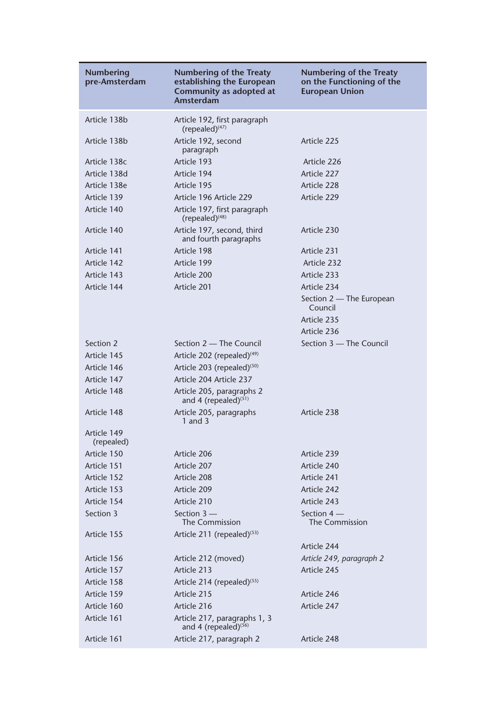| Numbering<br>pre-Amsterdam | Numbering of the Treaty<br>establishing the European<br>Community as adopted at<br>Amsterdam | <b>Numbering of the Treaty</b><br>on the Functioning of the<br><b>European Union</b> |
|----------------------------|----------------------------------------------------------------------------------------------|--------------------------------------------------------------------------------------|
| Article 138b               | Article 192, first paragraph<br>$(repealed)^{(47)}$                                          |                                                                                      |
| Article 138b               | Article 192, second<br>paragraph                                                             | Article 225                                                                          |
| Article 138c               | Article 193                                                                                  | Article 226                                                                          |
| Article 138d               | Article 194                                                                                  | Article 227                                                                          |
| Article 138e               | Article 195                                                                                  | Article 228                                                                          |
| Article 139                | Article 196 Article 229                                                                      | Article 229                                                                          |
| Article 140                | Article 197, first paragraph<br>(repealed) <sup>(48)</sup>                                   |                                                                                      |
| Article 140                | Article 197, second, third<br>and fourth paragraphs                                          | Article 230                                                                          |
| Article 141                | Article 198                                                                                  | Article 231                                                                          |
| Article 142                | Article 199                                                                                  | Article 232                                                                          |
| Article 143                | Article 200                                                                                  | Article 233                                                                          |
| Article 144                | Article 201                                                                                  | Article 234                                                                          |
|                            |                                                                                              | Section 2 — The European<br>Council                                                  |
|                            |                                                                                              | Article 235                                                                          |
|                            |                                                                                              | Article 236                                                                          |
| Section 2                  | Section 2 - The Council                                                                      | Section 3 - The Council                                                              |
| Article 145                | Article 202 (repealed) <sup>(49)</sup>                                                       |                                                                                      |
| Article 146                | Article 203 (repealed) <sup>(50)</sup>                                                       |                                                                                      |
| Article 147                | Article 204 Article 237                                                                      |                                                                                      |
| Article 148                | Article 205, paragraphs 2<br>and 4 (repealed) <sup>(51)</sup>                                |                                                                                      |
| Article 148                | Article 205, paragraphs<br>1 and 3                                                           | Article 238                                                                          |
| Article 149<br>(repealed)  |                                                                                              |                                                                                      |
| Article 150                | Article 206                                                                                  | Article 239                                                                          |
| Article 151                | Article 207                                                                                  | Article 240                                                                          |
| Article 152                | Article 208                                                                                  | Article 241                                                                          |
| Article 153                | Article 209                                                                                  | Article 242                                                                          |
| Article 154                | Article 210                                                                                  | Article 243                                                                          |
| Section 3                  | Section $3-$<br>The Commission                                                               | Section $4-$<br>The Commission                                                       |
| Article 155                | Article 211 (repealed) <sup>(53)</sup>                                                       | Article 244                                                                          |
| Article 156                | Article 212 (moved)                                                                          | Article 249, paragraph 2                                                             |
| Article 157                | Article 213                                                                                  | Article 245                                                                          |
| Article 158                | Article 214 (repealed) $(55)$                                                                |                                                                                      |
| Article 159                | Article 215                                                                                  | Article 246                                                                          |
| Article 160                | Article 216                                                                                  | Article 247                                                                          |
| Article 161                | Article 217, paragraphs 1, 3<br>and 4 (repealed) <sup>(56)</sup>                             |                                                                                      |
| Article 161                | Article 217, paragraph 2                                                                     | Article 248                                                                          |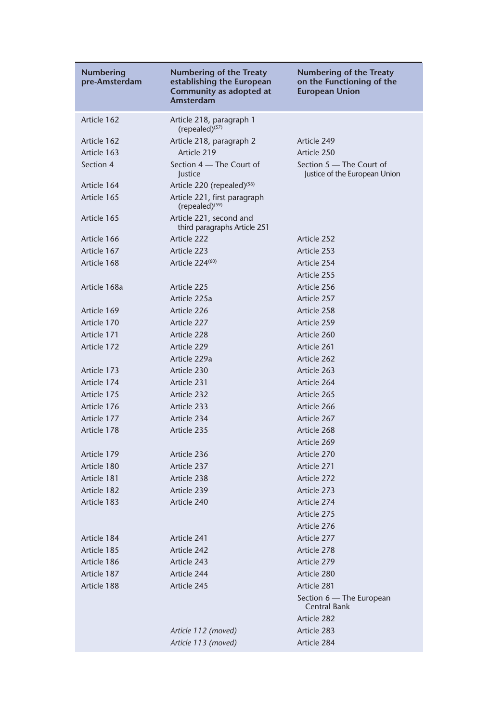| Numbering<br>pre-Amsterdam | Numbering of the Treaty<br>establishing the European<br>Community as adopted at<br>Amsterdam | <b>Numbering of the Treaty</b><br>on the Functioning of the<br><b>European Union</b> |
|----------------------------|----------------------------------------------------------------------------------------------|--------------------------------------------------------------------------------------|
| Article 162                | Article 218, paragraph 1<br>(repealed) <sup>(57)</sup>                                       |                                                                                      |
| Article 162                | Article 218, paragraph 2                                                                     | Article 249                                                                          |
| Article 163                | Article 219                                                                                  | Article 250                                                                          |
| Section 4                  | Section 4 – The Court of<br>Justice                                                          | Section 5 – The Court of<br>Justice of the European Union                            |
| Article 164                | Article 220 (repealed) $(58)$                                                                |                                                                                      |
| Article 165                | Article 221, first paragraph<br>(repealed) <sup>(59)</sup>                                   |                                                                                      |
| Article 165                | Article 221, second and<br>third paragraphs Article 251                                      |                                                                                      |
| Article 166                | Article 222                                                                                  | Article 252                                                                          |
| Article 167                | Article 223                                                                                  | Article 253                                                                          |
| Article 168                | Article 224 <sup>(60)</sup>                                                                  | Article 254                                                                          |
|                            |                                                                                              | Article 255                                                                          |
| Article 168a               | Article 225                                                                                  | Article 256                                                                          |
|                            | Article 225a                                                                                 | Article 257                                                                          |
| Article 169                | Article 226                                                                                  | Article 258                                                                          |
| Article 170                | Article 227                                                                                  | Article 259                                                                          |
| Article 171                | Article 228                                                                                  | Article 260                                                                          |
| Article 172                | Article 229                                                                                  | Article 261                                                                          |
|                            | Article 229a                                                                                 | Article 262                                                                          |
| Article 173                | Article 230                                                                                  | Article 263                                                                          |
| Article 174                | Article 231                                                                                  | Article 264                                                                          |
| Article 175                | Article 232                                                                                  | Article 265                                                                          |
| Article 176                | Article 233                                                                                  | Article 266                                                                          |
| Article 177                | Article 234                                                                                  | Article 267                                                                          |
| Article 178                | Article 235                                                                                  | Article 268                                                                          |
|                            |                                                                                              | Article 269                                                                          |
| Article 179                | Article 236                                                                                  | Article 270                                                                          |
| Article 180                | Article 237                                                                                  | Article 271                                                                          |
| Article 181                | Article 238                                                                                  | Article 272                                                                          |
| Article 182                | Article 239                                                                                  | Article 273                                                                          |
| Article 183                | Article 240                                                                                  | Article 274                                                                          |
|                            |                                                                                              | Article 275                                                                          |
|                            |                                                                                              | Article 276                                                                          |
| Article 184                | Article 241                                                                                  | Article 277                                                                          |
| Article 185                | Article 242                                                                                  | Article 278                                                                          |
| Article 186                | Article 243                                                                                  | Article 279                                                                          |
| Article 187                | Article 244                                                                                  | Article 280                                                                          |
| Article 188                | Article 245                                                                                  | Article 281                                                                          |
|                            |                                                                                              | Section 6 - The European<br><b>Central Bank</b>                                      |
|                            |                                                                                              | Article 282                                                                          |
|                            | Article 112 (moved)                                                                          | Article 283                                                                          |
|                            | Article 113 (moved)                                                                          | Article 284                                                                          |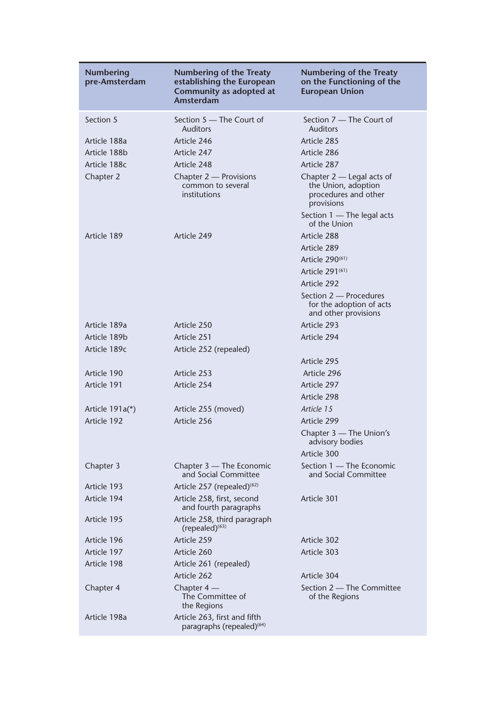| <b>Numbering</b><br>pre-Amsterdam | Numbering of the Treaty<br>establishing the European<br>Community as adopted at<br>Amsterdam | <b>Numbering of the Treaty</b><br>on the Functioning of the<br><b>European Union</b>     |
|-----------------------------------|----------------------------------------------------------------------------------------------|------------------------------------------------------------------------------------------|
| Section 5                         | Section 5 – The Court of<br><b>Auditors</b>                                                  | Section 7 - The Court of<br><b>Auditors</b>                                              |
| Article 188a                      | Article 246                                                                                  | Article 285                                                                              |
| Article 188b                      | Article 247                                                                                  | Article 286                                                                              |
| Article 188c                      | Article 248                                                                                  | Article 287                                                                              |
| Chapter 2                         | Chapter 2 - Provisions<br>common to several<br>institutions                                  | Chapter $2$ - Legal acts of<br>the Union, adoption<br>procedures and other<br>provisions |
|                                   |                                                                                              | Section 1 — The legal acts<br>of the Union                                               |
| Article 189                       | Article 249                                                                                  | Article 288                                                                              |
|                                   |                                                                                              | Article 289                                                                              |
|                                   |                                                                                              | Article 290 <sup>(61)</sup>                                                              |
|                                   |                                                                                              | Article 291 <sup>(61)</sup>                                                              |
|                                   |                                                                                              | Article 292                                                                              |
|                                   |                                                                                              | Section 2 - Procedures<br>for the adoption of acts<br>and other provisions               |
| Article 189a                      | Article 250                                                                                  | Article 293                                                                              |
| Article 189b                      | Article 251                                                                                  | Article 294                                                                              |
| Article 189c                      | Article 252 (repealed)                                                                       |                                                                                          |
|                                   |                                                                                              | Article 295                                                                              |
| Article 190                       | Article 253                                                                                  | Article 296                                                                              |
| Article 191                       | Article 254                                                                                  | Article 297                                                                              |
|                                   |                                                                                              | Article 298                                                                              |
| Article $191a(*)$                 | Article 255 (moved)                                                                          | Article 15                                                                               |
| Article 192                       | Article 256                                                                                  | Article 299                                                                              |
|                                   |                                                                                              | Chapter 3 - The Union's<br>advisory bodies                                               |
|                                   |                                                                                              | Article 300                                                                              |
| Chapter 3                         | Chapter 3 — The Economic<br>and Social Committee                                             | Section 1 - The Economic<br>and Social Committee                                         |
| Article 193                       | Article 257 (repealed) <sup>(62)</sup>                                                       |                                                                                          |
| Article 194                       | Article 258, first, second<br>and fourth paragraphs                                          | Article 301                                                                              |
| Article 195                       | Article 258, third paragraph<br>(repealed) <sup>(63)</sup>                                   |                                                                                          |
| Article 196                       | Article 259                                                                                  | Article 302                                                                              |
| Article 197                       | Article 260                                                                                  | Article 303                                                                              |
| Article 198                       | Article 261 (repealed)                                                                       |                                                                                          |
|                                   | Article 262                                                                                  | Article 304                                                                              |
| Chapter 4                         | Chapter $4-$<br>The Committee of<br>the Regions                                              | Section 2 – The Committee<br>of the Regions                                              |
| Article 198a                      | Article 263, first and fifth<br>paragraphs (repealed) <sup>(64)</sup>                        |                                                                                          |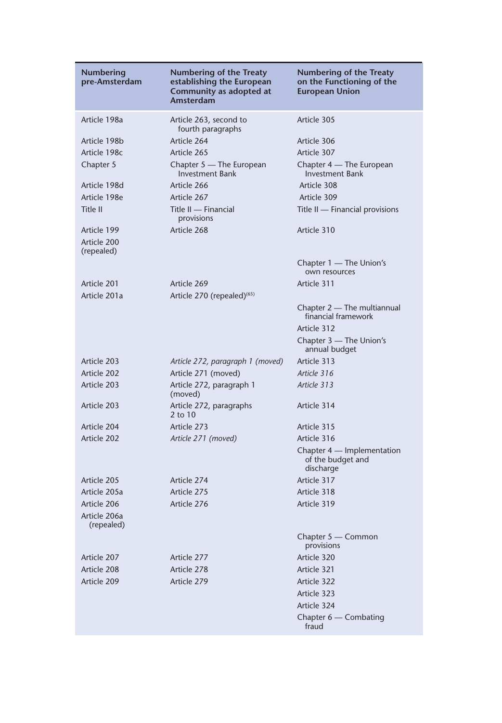| <b>Numbering</b><br>pre-Amsterdam | <b>Numbering of the Treaty</b><br>establishing the European<br>Community as adopted at<br>Amsterdam | <b>Numbering of the Treaty</b><br>on the Functioning of the<br><b>European Union</b> |
|-----------------------------------|-----------------------------------------------------------------------------------------------------|--------------------------------------------------------------------------------------|
| Article 198a                      | Article 263, second to<br>fourth paragraphs                                                         | Article 305                                                                          |
| Article 198b                      | Article 264                                                                                         | Article 306                                                                          |
| Article 198c                      | Article 265                                                                                         | Article 307                                                                          |
| Chapter 5                         | Chapter 5 - The European<br><b>Investment Bank</b>                                                  | Chapter 4 — The European<br><b>Investment Bank</b>                                   |
| Article 198d                      | Article 266                                                                                         | Article 308                                                                          |
| Article 198e                      | Article 267                                                                                         | Article 309                                                                          |
| Title II                          | Title II - Financial<br>provisions                                                                  | Title II — Financial provisions                                                      |
| Article 199                       | Article 268                                                                                         | Article 310                                                                          |
| Article 200<br>(repealed)         |                                                                                                     |                                                                                      |
|                                   |                                                                                                     | Chapter 1 — The Union's<br>own resources                                             |
| Article 201                       | Article 269                                                                                         | Article 311                                                                          |
| Article 201a                      | Article 270 (repealed) <sup>(65)</sup>                                                              |                                                                                      |
|                                   |                                                                                                     | Chapter 2 — The multiannual<br>financial framework                                   |
|                                   |                                                                                                     | Article 312                                                                          |
|                                   |                                                                                                     | Chapter 3 - The Union's<br>annual budget                                             |
| Article 203                       | Article 272, paragraph 1 (moved)                                                                    | Article 313                                                                          |
| Article 202                       | Article 271 (moved)                                                                                 | Article 316                                                                          |
| Article 203                       | Article 272, paragraph 1<br>(moved)                                                                 | Article 313                                                                          |
| Article 203                       | Article 272, paragraphs<br>2 to 10                                                                  | Article 314                                                                          |
| Article 204                       | Article 273                                                                                         | Article 315                                                                          |
| Article 202                       | Article 271 (moved)                                                                                 | Article 316                                                                          |
|                                   |                                                                                                     | Chapter 4 — Implementation<br>of the budget and<br>discharge                         |
| Article 205                       | Article 274                                                                                         | Article 317                                                                          |
| Article 205a                      | Article 275                                                                                         | Article 318                                                                          |
| Article 206                       | Article 276                                                                                         | Article 319                                                                          |
| Article 206a<br>(repealed)        |                                                                                                     |                                                                                      |
|                                   |                                                                                                     | Chapter 5 - Common<br>provisions                                                     |
| Article 207                       | Article 277                                                                                         | Article 320                                                                          |
| Article 208                       | Article 278                                                                                         | Article 321                                                                          |
| Article 209                       | Article 279                                                                                         | Article 322                                                                          |
|                                   |                                                                                                     | Article 323                                                                          |
|                                   |                                                                                                     | Article 324                                                                          |
|                                   |                                                                                                     | Chapter 6 - Combating<br>fraud                                                       |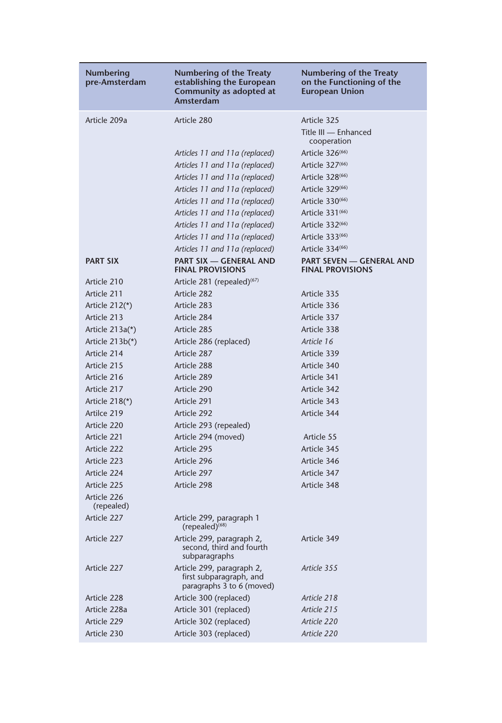| <b>Numbering</b><br>pre-Amsterdam | Numbering of the Treaty<br>establishing the European<br>Community as adopted at<br>Amsterdam | Numbering of the Treaty<br>on the Functioning of the<br><b>European Union</b> |
|-----------------------------------|----------------------------------------------------------------------------------------------|-------------------------------------------------------------------------------|
| Article 209a                      | Article 280                                                                                  | Article 325<br>Title III - Enhanced                                           |
|                                   |                                                                                              | cooperation                                                                   |
|                                   | Articles 11 and 11a (replaced)                                                               | Article 326 <sup>(66)</sup>                                                   |
|                                   | Articles 11 and 11a (replaced)                                                               | Article 327 <sup>(66)</sup>                                                   |
|                                   | Articles 11 and 11a (replaced)                                                               | Article 328 <sup>(66)</sup>                                                   |
|                                   | Articles 11 and 11a (replaced)                                                               | Article 329 <sup>(66)</sup>                                                   |
|                                   | Articles 11 and 11a (replaced)                                                               | Article 330 <sup>(66)</sup>                                                   |
|                                   | Articles 11 and 11a (replaced)                                                               | Article 331 <sup>(66)</sup>                                                   |
|                                   | Articles 11 and 11a (replaced)                                                               | Article 332 <sup>(66)</sup>                                                   |
|                                   | Articles 11 and 11a (replaced)                                                               | Article 333 <sup>(66)</sup>                                                   |
|                                   | Articles 11 and 11a (replaced)                                                               | Article 334 <sup>(66)</sup>                                                   |
| <b>PART SIX</b>                   | PART SIX - GENERAL AND<br><b>FINAL PROVISIONS</b>                                            | PART SEVEN - GENERAL AND<br><b>FINAL PROVISIONS</b>                           |
| Article 210                       | Article 281 (repealed) $(67)$                                                                |                                                                               |
| Article 211                       | Article 282                                                                                  | Article 335                                                                   |
| Article $212(*)$                  | Article 283                                                                                  | Article 336                                                                   |
| Article 213                       | Article 284                                                                                  | Article 337                                                                   |
| Article $213a(*)$                 | Article 285                                                                                  | Article 338                                                                   |
| Article $213b(*)$                 | Article 286 (replaced)                                                                       | Article 16                                                                    |
| Article 214                       | Article 287                                                                                  | Article 339                                                                   |
| Article 215                       | Article 288                                                                                  | Article 340                                                                   |
| Article 216                       | Article 289                                                                                  | Article 341                                                                   |
| Article 217                       | Article 290                                                                                  | Article 342                                                                   |
| Article 218(*)                    | Article 291                                                                                  | Article 343                                                                   |
| Artilce 219                       | Article 292                                                                                  | Article 344                                                                   |
| Article 220                       | Article 293 (repealed)                                                                       |                                                                               |
| Article 221                       | Article 294 (moved)                                                                          | Article 55                                                                    |
| Article 222                       | Article 295                                                                                  | Article 345                                                                   |
| Article 223                       | Article 296                                                                                  | Article 346                                                                   |
| Article 224                       | Article 297                                                                                  | Article 347                                                                   |
| Article 225                       | Article 298                                                                                  | Article 348                                                                   |
| Article 226<br>(repealed)         |                                                                                              |                                                                               |
| Article 227                       | Article 299, paragraph 1<br>$(repealed)^{(68)}$                                              |                                                                               |
| Article 227                       | Article 299, paragraph 2,<br>second, third and fourth<br>subparagraphs                       | Article 349                                                                   |
| Article 227                       | Article 299, paragraph 2,<br>first subparagraph, and<br>paragraphs 3 to 6 (moved)            | Article 355                                                                   |
| Article 228                       | Article 300 (replaced)                                                                       | Article 218                                                                   |
| Article 228a                      | Article 301 (replaced)                                                                       | Article 215                                                                   |
| Article 229                       | Article 302 (replaced)                                                                       | Article 220                                                                   |
| Article 230                       | Article 303 (replaced)                                                                       | Article 220                                                                   |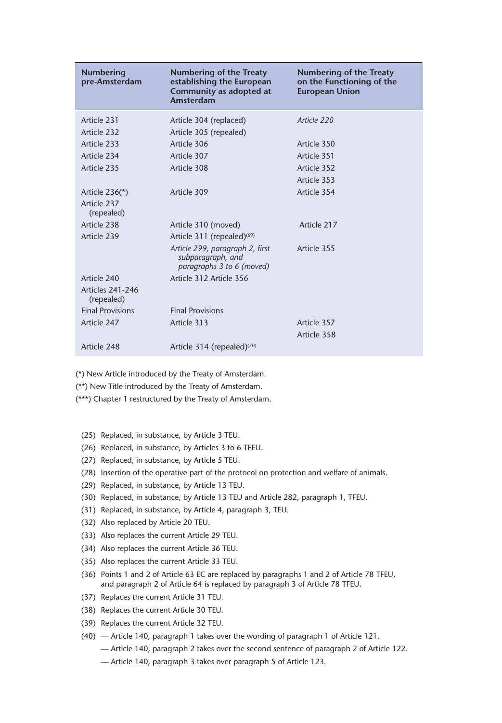| <b>Numbering</b><br>pre-Amsterdam | <b>Numbering of the Treaty</b><br>establishing the European<br>Community as adopted at<br>Amsterdam | Numbering of the Treaty<br>on the Functioning of the<br><b>European Union</b> |
|-----------------------------------|-----------------------------------------------------------------------------------------------------|-------------------------------------------------------------------------------|
| Article 231                       | Article 304 (replaced)                                                                              | Article 220                                                                   |
| Article 232                       | Article 305 (repealed)                                                                              |                                                                               |
| Article 233                       | Article 306                                                                                         | Article 350                                                                   |
| Article 234                       | Article 307                                                                                         | Article 351                                                                   |
| Article 235                       | Article 308                                                                                         | Article 352                                                                   |
|                                   |                                                                                                     | Article 353                                                                   |
| Article $236(*)$                  | Article 309                                                                                         | Article 354                                                                   |
| Article 237<br>(repealed)         |                                                                                                     |                                                                               |
| Article 238                       | Article 310 (moved)                                                                                 | Article 217                                                                   |
| Article 239                       | Article 311 (repealed) <sup>(69)</sup>                                                              |                                                                               |
|                                   | Article 299, paragraph 2, first<br>subparagraph, and<br>paragraphs 3 to 6 (moved)                   | Article 355                                                                   |
| Article 240                       | Article 312 Article 356                                                                             |                                                                               |
| Articles 241-246<br>(repealed)    |                                                                                                     |                                                                               |
| <b>Final Provisions</b>           | <b>Final Provisions</b>                                                                             |                                                                               |
| Article 247                       | Article 313                                                                                         | Article 357                                                                   |
|                                   |                                                                                                     | Article 358                                                                   |
| Article 248                       | Article 314 (repealed) $(70)$                                                                       |                                                                               |

(\*) New Article introduced by the Treaty of Amsterdam.

(\*\*) New Title introduced by the Treaty of Amsterdam.

(\*\*\*) Chapter 1 restructured by the Treaty of Amsterdam.

- (25) Replaced, in substance, by Article 3 TEU.
- (26) Replaced, in substance, by Articles 3 to 6 TFEU.
- (27) Replaced, in substance, by Article 5 TEU.
- (28) Insertion of the operative part of the protocol on protection and welfare of animals.
- (29) Replaced, in substance, by Article 13 TEU.
- (30) Replaced, in substance, by Article 13 TEU and Article 282, paragraph 1, TFEU.
- (31) Replaced, in substance, by Article 4, paragraph 3, TEU.
- (32) Also replaced by Article 20 TEU.
- (33) Also replaces the current Article 29 TEU.
- (34) Also replaces the current Article 36 TEU.
- (35) Also replaces the current Article 33 TEU.
- (36) Points 1 and 2 of Article 63 EC are replaced by paragraphs 1 and 2 of Article 78 TFEU, and paragraph 2 of Article 64 is replaced by paragraph 3 of Article 78 TFEU.
- (37) Replaces the current Article 31 TEU.
- (38) Replaces the current Article 30 TEU.
- (39) Replaces the current Article 32 TEU.
- (40) Article 140, paragraph 1 takes over the wording of paragraph 1 of Article 121.
	- Article 140, paragraph 2 takes over the second sentence of paragraph 2 of Article 122.
	- Article 140, paragraph 3 takes over paragraph 5 of Article 123.